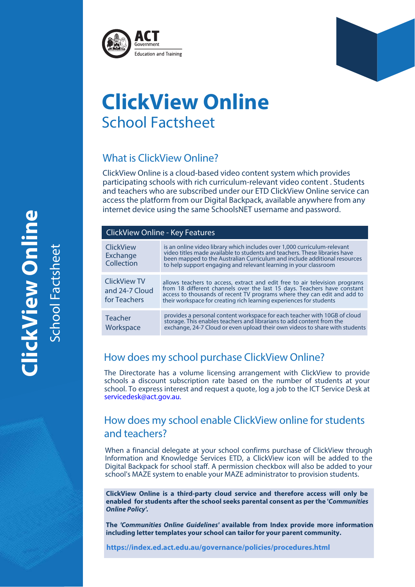



# **ClickView Online** School Factsheet

# What is ClickView Online?

ClickView Online is a cloud-based video content system which provides participating schools with rich curriculum-relevant video content . Students and teachers who are subscribed under our ETD ClickView Online service can access the platform from our Digital Backpack, available anywhere from any internet device using the same SchoolsNET username and password.

| <b>ClickView Online - Key Features</b>                |                                                                                                                                                                                                                                                                                                            |
|-------------------------------------------------------|------------------------------------------------------------------------------------------------------------------------------------------------------------------------------------------------------------------------------------------------------------------------------------------------------------|
| ClickView<br>Exchange<br>Collection                   | is an online video library which includes over 1,000 curriculum-relevant<br>video titles made available to students and teachers. These libraries have<br>been mapped to the Australian Curriculum and include additional resources<br>to help support engaging and relevant learning in your classroom    |
| <b>ClickView TV</b><br>and 24-7 Cloud<br>for Teachers | allows teachers to access, extract and edit free to air television programs<br>from 18 different channels over the last 15 days. Teachers have constant<br>access to thousands of recent TV programs where they can edit and add to<br>their workspace for creating rich learning experiences for students |
| Teacher<br>Workspace                                  | provides a personal content workspace for each teacher with 10GB of cloud<br>storage. This enables teachers and librarians to add content from the<br>exchange, 24-7 Cloud or even upload their own videos to share with students                                                                          |

# How does my school purchase ClickView Online?

The Directorate has a volume licensing arrangement with ClickView to provide schools a discount subscription rate based on the number of students at your school. To express interest and request a quote, log a job to the ICT Service Desk at servicedesk@act.gov.au.

# How does my school enable ClickView online for students and teachers?

When a financial delegate at your school confirms purchase of ClickView through Information and Knowledge Services ETD, a ClickView icon will be added to the Digital Backpack for school staff. A permission checkbox will also be added to your school's MAZE system to enable your MAZE administrator to provision students.

**ClickView Online is a third-party cloud service and therefore access will only be enabled for students after the school seeks parental consent as per the 'Communities Online Policy'.** 

**The 'Communities Online Guidelines' available from Index provide more information including letter templates your school can tailor for your parent community.** 

**https://index.ed.act.edu.au/governance/policies/procedures.html**